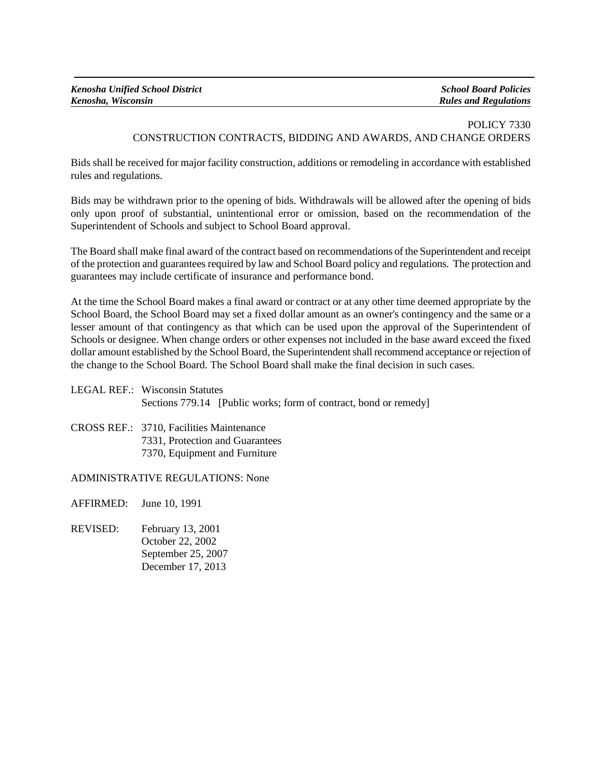## POLICY 7330 CONSTRUCTION CONTRACTS, BIDDING AND AWARDS, AND CHANGE ORDERS

Bids shall be received for major facility construction, additions or remodeling in accordance with established rules and regulations.

Bids may be withdrawn prior to the opening of bids. Withdrawals will be allowed after the opening of bids only upon proof of substantial, unintentional error or omission, based on the recommendation of the Superintendent of Schools and subject to School Board approval.

The Board shall make final award of the contract based on recommendations of the Superintendent and receipt of the protection and guarantees required by law and School Board policy and regulations. The protection and guarantees may include certificate of insurance and performance bond.

At the time the School Board makes a final award or contract or at any other time deemed appropriate by the School Board, the School Board may set a fixed dollar amount as an owner's contingency and the same or a lesser amount of that contingency as that which can be used upon the approval of the Superintendent of Schools or designee. When change orders or other expenses not included in the base award exceed the fixed dollar amount established by the School Board, the Superintendent shall recommend acceptance or rejection of the change to the School Board. The School Board shall make the final decision in such cases.

LEGAL REF.: Wisconsin Statutes Sections 779.14 [Public works; form of contract, bond or remedy]

CROSS REF.: 3710, Facilities Maintenance 7331, Protection and Guarantees 7370, Equipment and Furniture

ADMINISTRATIVE REGULATIONS: None

AFFIRMED: June 10, 1991

REVISED: February 13, 2001 October 22, 2002 September 25, 2007 December 17, 2013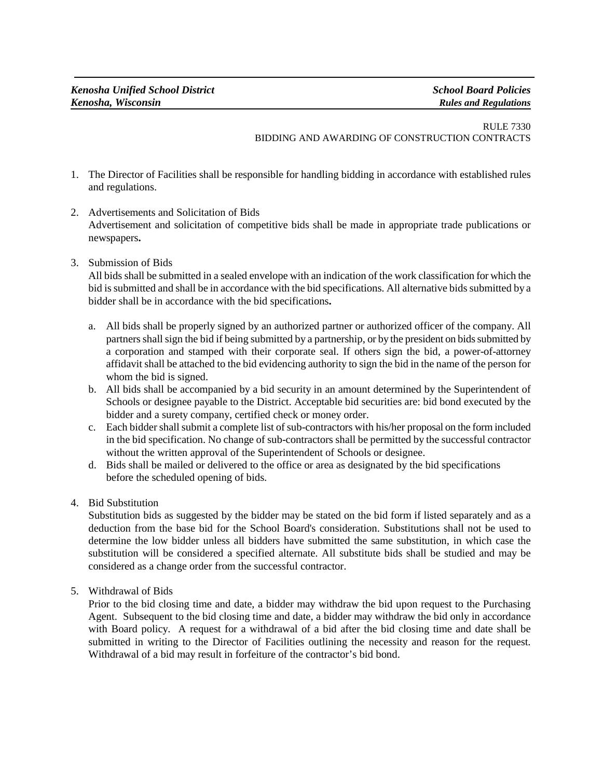## RULE 7330 BIDDING AND AWARDING OF CONSTRUCTION CONTRACTS

- 1. The Director of Facilities shall be responsible for handling bidding in accordance with established rules and regulations.
- 2. Advertisements and Solicitation of Bids Advertisement and solicitation of competitive bids shall be made in appropriate trade publications or newspapers**.**
- 3. Submission of Bids

All bids shall be submitted in a sealed envelope with an indication of the work classification for which the bid is submitted and shall be in accordance with the bid specifications. All alternative bids submitted by a bidder shall be in accordance with the bid specifications**.**

- a. All bids shall be properly signed by an authorized partner or authorized officer of the company. All partners shall sign the bid if being submitted by a partnership, or by the president on bids submitted by a corporation and stamped with their corporate seal. If others sign the bid, a power-of-attorney affidavit shall be attached to the bid evidencing authority to sign the bid in the name of the person for whom the bid is signed.
- b. All bids shall be accompanied by a bid security in an amount determined by the Superintendent of Schools or designee payable to the District. Acceptable bid securities are: bid bond executed by the bidder and a surety company, certified check or money order.
- c. Each bidder shall submit a complete list of sub-contractors with his/her proposal on the form included in the bid specification. No change of sub-contractors shall be permitted by the successful contractor without the written approval of the Superintendent of Schools or designee.
- d. Bids shall be mailed or delivered to the office or area as designated by the bid specifications before the scheduled opening of bids.
- 4. Bid Substitution

Substitution bids as suggested by the bidder may be stated on the bid form if listed separately and as a deduction from the base bid for the School Board's consideration. Substitutions shall not be used to determine the low bidder unless all bidders have submitted the same substitution, in which case the substitution will be considered a specified alternate. All substitute bids shall be studied and may be considered as a change order from the successful contractor.

5. Withdrawal of Bids

Prior to the bid closing time and date, a bidder may withdraw the bid upon request to the Purchasing Agent. Subsequent to the bid closing time and date, a bidder may withdraw the bid only in accordance with Board policy. A request for a withdrawal of a bid after the bid closing time and date shall be submitted in writing to the Director of Facilities outlining the necessity and reason for the request. Withdrawal of a bid may result in forfeiture of the contractor's bid bond.